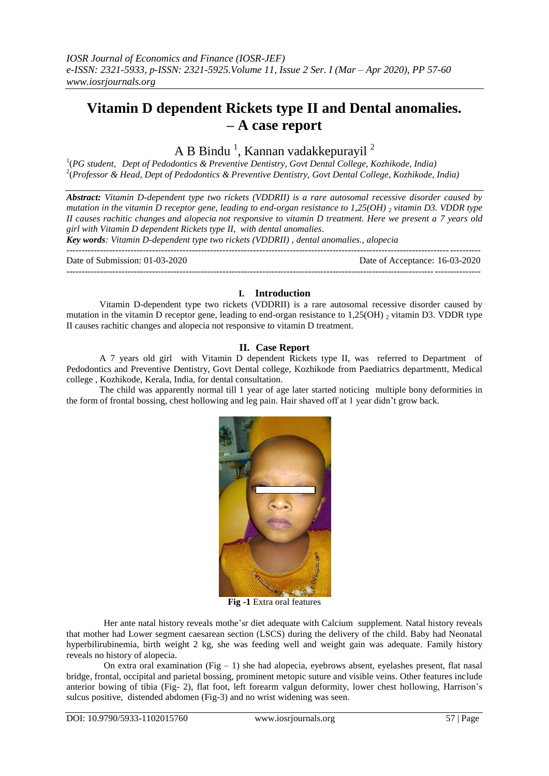# **Vitamin D dependent Rickets type II and Dental anomalies. – A case report**

A B Bindu<sup>1</sup>, Kannan vadakkepurayil<sup>2</sup>

1 (*PG student, Dept of Pedodontics & Preventive Dentistry, Govt Dental College, Kozhikode, India)* 2 (*Professor & Head, Dept of Pedodontics & Preventive Dentistry, Govt Dental College, Kozhikode, India)*

*Abstract: Vitamin D-dependent type two rickets (VDDRII) is a rare autosomal recessive disorder caused by mutation in the vitamin D receptor gene, leading to end-organ resistance to 1,25(OH) <sup>2</sup> vitamin D3. VDDR type II causes rachitic changes and alopecia not responsive to vitamin D treatment. Here we present a 7 years old girl with Vitamin D dependent Rickets type II, with dental anomalies.*

*Key words: Vitamin D-dependent type two rickets (VDDRII) , dental anomalies., alopecia*

---------------------------------------------------------------------------------------------------------------------------------------

---------------------------------------------------------------------------------------------------------------------------------------

Date of Submission: 01-03-2020 Date of Acceptance: 16-03-2020

### **I. Introduction**

Vitamin D-dependent type two rickets (VDDRII) is a rare autosomal recessive disorder caused by mutation in the vitamin D receptor gene, leading to end-organ resistance to  $1,25(OH)$  2 vitamin D3. VDDR type II causes rachitic changes and alopecia not responsive to vitamin D treatment.

## **II. Case Report**

A 7 years old girl with Vitamin D dependent Rickets type II, was referred to Department of Pedodontics and Preventive Dentistry, Govt Dental college, Kozhikode from Paediatrics departmentt, Medical college , Kozhikode, Kerala, India, for dental consultation.

The child was apparently normal till 1 year of age later started noticing multiple bony deformities in the form of frontal bossing, chest hollowing and leg pain. Hair shaved off at 1 year didn't grow back.



**Fig -1** Extra oral features

Her ante natal history reveals mothe'sr diet adequate with Calcium supplement. Natal history reveals that mother had Lower segment caesarean section (LSCS) during the delivery of the child. Baby had Neonatal hyperbilirubinemia, birth weight 2 kg, she was feeding well and weight gain was adequate. Family history reveals no history of alopecia.

On extra oral examination (Fig – 1) she had alopecia, eyebrows absent, eyelashes present, flat nasal bridge, frontal, occipital and parietal bossing, prominent metopic suture and visible veins. Other features include anterior bowing of tibia (Fig- 2), flat foot, left forearm valgun deformity, lower chest hollowing, Harrison's sulcus positive, distended abdomen (Fig-3) and no wrist widening was seen.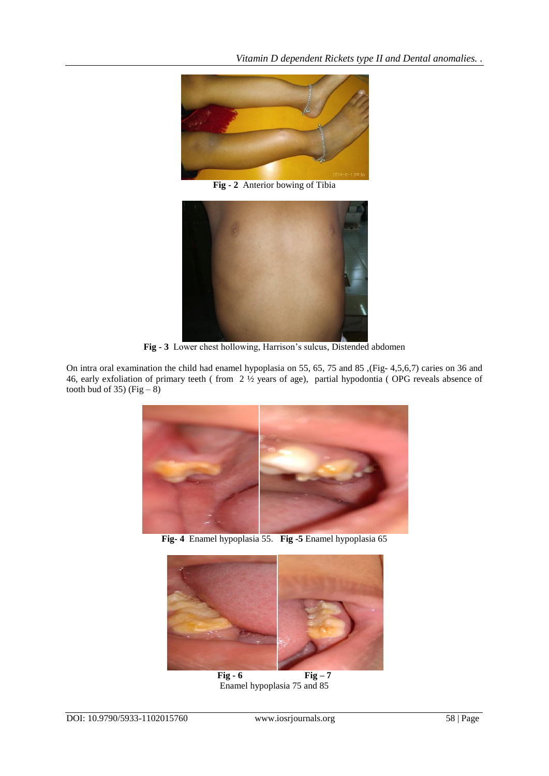

**Fig - 2** Anterior bowing of Tibia



**Fig - 3** Lower chest hollowing, Harrison's sulcus, Distended abdomen

On intra oral examination the child had enamel hypoplasia on 55, 65, 75 and 85 ,(Fig- 4,5,6,7) caries on 36 and 46, early exfoliation of primary teeth ( from 2 ½ years of age), partial hypodontia ( OPG reveals absence of tooth bud of 35) (Fig  $-8$ )



**Fig- 4** Enamel hypoplasia 55. **Fig -5** Enamel hypoplasia 65



 $\begin{array}{|c|c|c|}\n\hline\n\text{Fig - 6} & \text{Fig - 7}\n\end{array}$ Enamel hypoplasia 75 and 85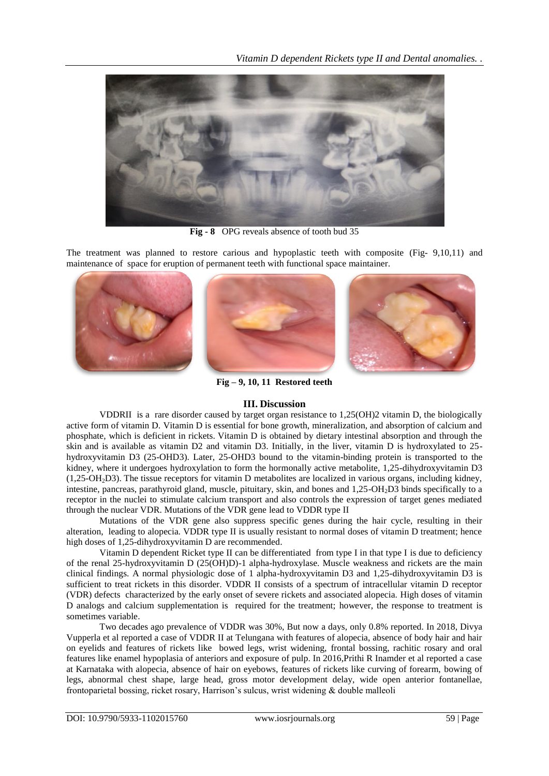*Vitamin D dependent Rickets type II and Dental anomalies. .*



**Fig - 8** OPG reveals absence of tooth bud 35

The treatment was planned to restore carious and hypoplastic teeth with composite (Fig- 9,10,11) and maintenance of space for eruption of permanent teeth with functional space maintainer.



**Fig – 9, 10, 11 Restored teeth**

## **III. Discussion**

VDDRII is a rare disorder caused by target organ resistance to 1,25(OH)2 vitamin D, the biologically active form of vitamin D. Vitamin D is essential for bone growth, mineralization, and absorption of calcium and phosphate, which is deficient in rickets. Vitamin D is obtained by dietary intestinal absorption and through the skin and is available as vitamin D2 and vitamin D3. Initially, in the liver, vitamin D is hydroxylated to 25 hydroxyvitamin D3 (25-OHD3). Later, 25-OHD3 bound to the vitamin-binding protein is transported to the kidney, where it undergoes hydroxylation to form the hormonally active metabolite, 1,25-dihydroxyvitamin D3 (1,25-OH2D3). The tissue receptors for vitamin D metabolites are localized in various organs, including kidney, intestine, pancreas, parathyroid gland, muscle, pituitary, skin, and bones and 1,25-OH<sub>2</sub>D3 binds specifically to a receptor in the nuclei to stimulate calcium transport and also controls the expression of target genes mediated through the nuclear VDR. Mutations of the VDR gene lead to VDDR type II

Mutations of the VDR gene also suppress specific genes during the hair cycle, resulting in their alteration, leading to alopecia. VDDR type II is usually resistant to normal doses of vitamin D treatment; hence high doses of 1,25-dihydroxyvitamin D are recommended.

Vitamin D dependent Ricket type II can be differentiated from type I in that type I is due to deficiency of the renal 25-hydroxyvitamin D (25(OH)D)-1 alpha-hydroxylase. Muscle weakness and rickets are the main clinical findings. A normal physiologic dose of 1 alpha-hydroxyvitamin D3 and 1,25-dihydroxyvitamin D3 is sufficient to treat rickets in this disorder. VDDR II consists of a spectrum of intracellular vitamin D receptor (VDR) defects characterized by the early onset of severe rickets and associated alopecia. High doses of vitamin D analogs and calcium supplementation is required for the treatment; however, the response to treatment is sometimes variable.

Two decades ago prevalence of VDDR was 30%, But now a days, only 0.8% reported. In 2018, Divya Vupperla et al reported a case of VDDR II at Telungana with features of alopecia, absence of body hair and hair on eyelids and features of rickets like bowed legs, wrist widening, frontal bossing, rachitic rosary and oral features like enamel hypoplasia of anteriors and exposure of pulp. In 2016,Prithi R Inamder et al reported a case at Karnataka with alopecia, absence of hair on eyebows, features of rickets like curving of forearm, bowing of legs, abnormal chest shape, large head, gross motor development delay, wide open anterior fontanellae, frontoparietal bossing, ricket rosary, Harrison's sulcus, wrist widening & double malleoli